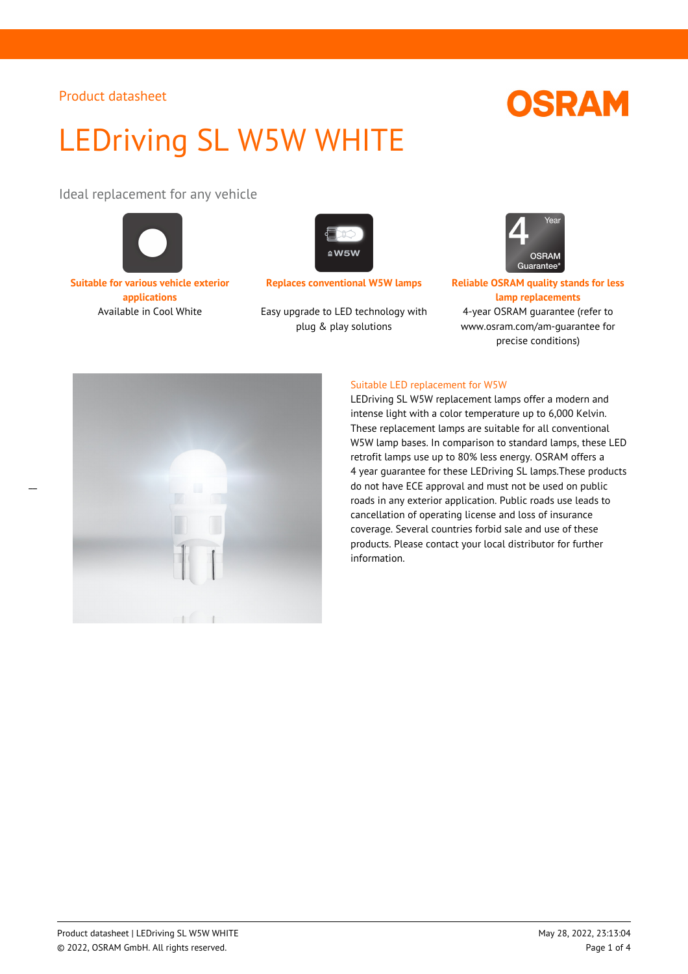# LEDriving SL W5W WHITE

Ideal replacement for any vehicle



**Suitable for various vehicle exterior applications**



Available in Cool White Easy upgrade to LED technology with plug & play solutions



**Replaces conventional W5W lamps Reliable OSRAM quality stands for less lamp replacements** 4-year OSRAM guarantee (refer to www.osram.com/am-guarantee for precise conditions)



### Suitable LED replacement for W5W

LEDriving SL W5W replacement lamps offer a modern and intense light with a color temperature up to 6,000 Kelvin. These replacement lamps are suitable for all conventional W5W lamp bases. In comparison to standard lamps, these LED retrofit lamps use up to 80% less energy. OSRAM offers a 4 year guarantee for these LEDriving SL lamps.These products do not have ECE approval and must not be used on public roads in any exterior application. Public roads use leads to cancellation of operating license and loss of insurance coverage. Several countries forbid sale and use of these products. Please contact your local distributor for further information.

# **OSRAM**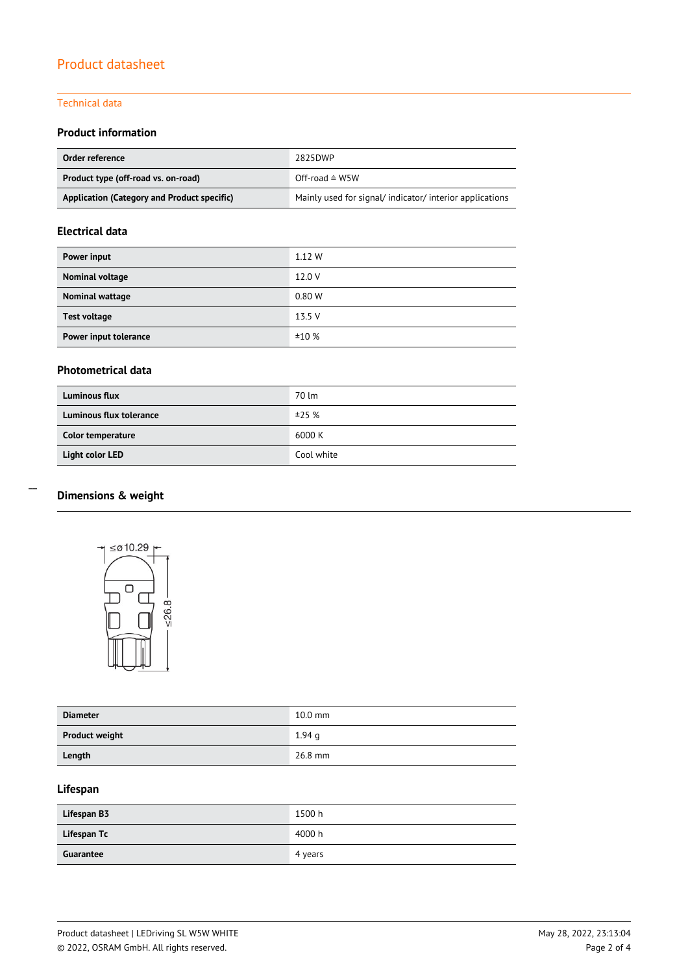## Technical data

## **Product information**

| Order reference                             | 2825DWP                                                |
|---------------------------------------------|--------------------------------------------------------|
| Product type (off-road vs. on-road)         | Off-road $\triangleq$ W5W                              |
| Application (Category and Product specific) | Mainly used for signal/indicator/interior applications |

### **Electrical data**

| Power input           | 1.12 W |
|-----------------------|--------|
| Nominal voltage       | 12.0 V |
| Nominal wattage       | 0.80 W |
| <b>Test voltage</b>   | 13.5 V |
| Power input tolerance | ±10%   |

## **Photometrical data**

| <b>Luminous flux</b>    | 70 lm      |
|-------------------------|------------|
| Luminous flux tolerance | ±25%       |
| Color temperature       | 6000 K     |
| Light color LED         | Cool white |

# **Dimensions & weight**

 $\overline{a}$ 



| <b>Diameter</b>       | $10.0$ mm |
|-----------------------|-----------|
| <b>Product weight</b> | 1.94q     |
| Length                | 26.8 mm   |

# **Lifespan**

| Lifespan B3 | 1500 h  |
|-------------|---------|
| Lifespan Tc | 4000 h  |
| Guarantee   | 4 years |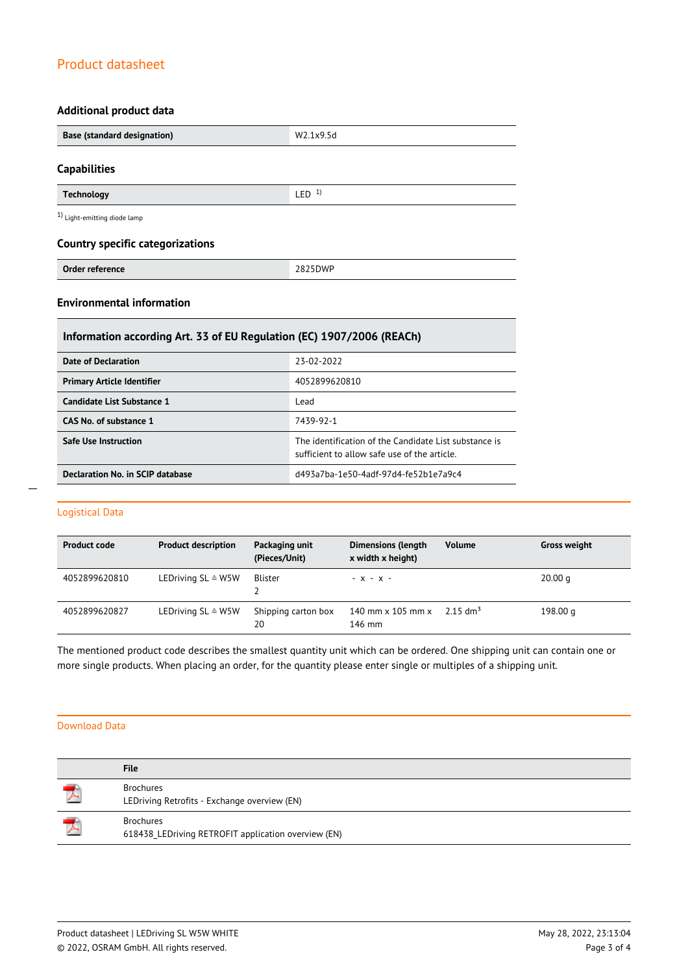## **Additional product data**

| <b>Base (standard designation)</b>       | W2.1x9.5d        |
|------------------------------------------|------------------|
| <b>Capabilities</b>                      |                  |
| <b>Technology</b>                        | LED <sup>1</sup> |
| <sup>1</sup> ) Light-emitting diode lamp |                  |
| <b>Country specific categorizations</b>  |                  |
| Order reference                          | 2825DWP          |

### **Environmental information**

| Information according Art. 33 of EU Regulation (EC) 1907/2006 (REACh) |                                                                                                       |  |
|-----------------------------------------------------------------------|-------------------------------------------------------------------------------------------------------|--|
| Date of Declaration                                                   | 23-02-2022                                                                                            |  |
| <b>Primary Article Identifier</b>                                     | 4052899620810                                                                                         |  |
| Candidate List Substance 1                                            | Lead                                                                                                  |  |
| CAS No. of substance 1                                                | 7439-92-1                                                                                             |  |
| <b>Safe Use Instruction</b>                                           | The identification of the Candidate List substance is<br>sufficient to allow safe use of the article. |  |
| Declaration No. in SCIP database                                      | d493a7ba-1e50-4adf-97d4-fe52b1e7a9c4                                                                  |  |

## Logistical Data

| <b>Product code</b> | <b>Product description</b>    | Packaging unit<br>(Pieces/Unit) | <b>Dimensions (length</b><br>x width x height) | <b>Volume</b>          | <b>Gross weight</b> |
|---------------------|-------------------------------|---------------------------------|------------------------------------------------|------------------------|---------------------|
| 4052899620810       | LEDriving $SL \triangleq W5W$ | Blister                         | $- X - X -$                                    |                        | 20.00 <sub>q</sub>  |
| 4052899620827       | LEDriving $SL \triangleq W5W$ | Shipping carton box<br>20       | 140 mm $\times$ 105 mm $\times$<br>146 mm      | $2.15$ dm <sup>3</sup> | 198.00 g            |

The mentioned product code describes the smallest quantity unit which can be ordered. One shipping unit can contain one or more single products. When placing an order, for the quantity please enter single or multiples of a shipping unit.

#### Download Data

|   | <b>File</b>                                                             |
|---|-------------------------------------------------------------------------|
|   | <b>Brochures</b><br>LEDriving Retrofits - Exchange overview (EN)        |
| 人 | <b>Brochures</b><br>618438_LEDriving RETROFIT application overview (EN) |